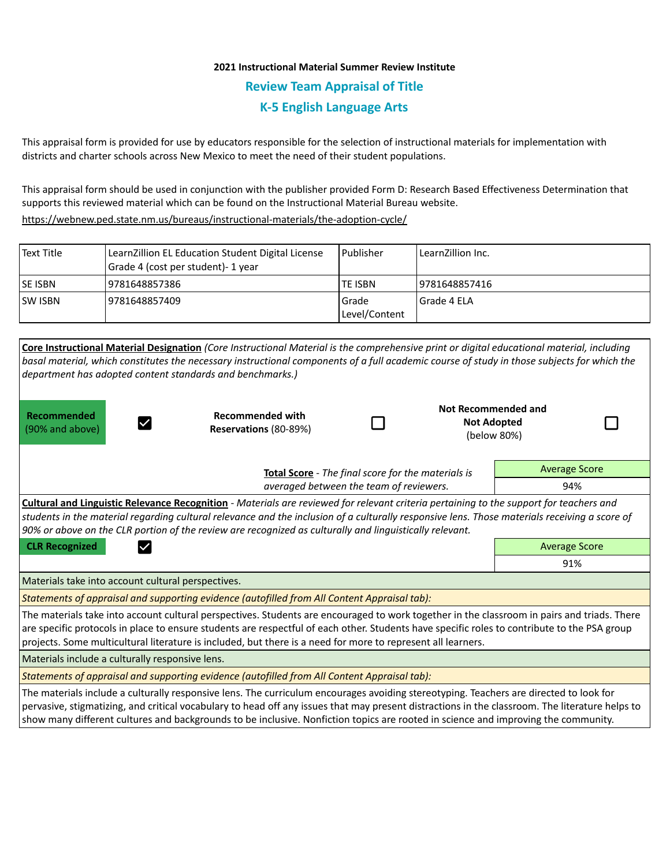## **2021 Instructional Material Summer Review Institute Review Team Appraisal of Title K-5 English Language Arts**

This appraisal form is provided for use by educators responsible for the selection of instructional materials for implementation with districts and charter schools across New Mexico to meet the need of their student populations.

This appraisal form should be used in conjunction with the publisher provided Form D: Research Based Effectiveness Determination that supports this reviewed material which can be found on the Instructional Material Bureau website.

<https://webnew.ped.state.nm.us/bureaus/instructional-materials/the-adoption-cycle/>

| Text Title     | LearnZillion EL Education Student Digital License<br>Grade 4 (cost per student)- 1 year | l Publisher              | LearnZillion Inc. |
|----------------|-----------------------------------------------------------------------------------------|--------------------------|-------------------|
| <b>SE ISBN</b> | 9781648857386                                                                           | TE ISBN                  | 9781648857416     |
| <b>SW ISBN</b> | 9781648857409                                                                           | l Grade<br>Level/Content | l Grade 4 ELA     |

| department has adopted content standards and benchmarks.)                                                                                                                                                                                                                                                                                                                                                   | Core Instructional Material Designation (Core Instructional Material is the comprehensive print or digital educational material, including<br>basal material, which constitutes the necessary instructional components of a full academic course of study in those subjects for which the |  |                      |                                                                 |  |  |  |  |
|-------------------------------------------------------------------------------------------------------------------------------------------------------------------------------------------------------------------------------------------------------------------------------------------------------------------------------------------------------------------------------------------------------------|-------------------------------------------------------------------------------------------------------------------------------------------------------------------------------------------------------------------------------------------------------------------------------------------|--|----------------------|-----------------------------------------------------------------|--|--|--|--|
| Recommended<br>(90% and above)                                                                                                                                                                                                                                                                                                                                                                              | <b>Recommended with</b><br>Reservations (80-89%)                                                                                                                                                                                                                                          |  |                      | <b>Not Recommended and</b><br><b>Not Adopted</b><br>(below 80%) |  |  |  |  |
| Total Score - The final score for the materials is<br>averaged between the team of reviewers.                                                                                                                                                                                                                                                                                                               |                                                                                                                                                                                                                                                                                           |  | <b>Average Score</b> |                                                                 |  |  |  |  |
|                                                                                                                                                                                                                                                                                                                                                                                                             |                                                                                                                                                                                                                                                                                           |  |                      | 94%                                                             |  |  |  |  |
| Cultural and Linguistic Relevance Recognition - Materials are reviewed for relevant criteria pertaining to the support for teachers and<br>students in the material regarding cultural relevance and the inclusion of a culturally responsive lens. Those materials receiving a score of<br>90% or above on the CLR portion of the review are recognized as culturally and linguistically relevant.         |                                                                                                                                                                                                                                                                                           |  |                      |                                                                 |  |  |  |  |
| <b>CLR Recognized</b><br>$\checkmark$                                                                                                                                                                                                                                                                                                                                                                       |                                                                                                                                                                                                                                                                                           |  |                      | <b>Average Score</b>                                            |  |  |  |  |
|                                                                                                                                                                                                                                                                                                                                                                                                             |                                                                                                                                                                                                                                                                                           |  |                      | 91%                                                             |  |  |  |  |
| Materials take into account cultural perspectives.                                                                                                                                                                                                                                                                                                                                                          |                                                                                                                                                                                                                                                                                           |  |                      |                                                                 |  |  |  |  |
| Statements of appraisal and supporting evidence (autofilled from All Content Appraisal tab):                                                                                                                                                                                                                                                                                                                |                                                                                                                                                                                                                                                                                           |  |                      |                                                                 |  |  |  |  |
| The materials take into account cultural perspectives. Students are encouraged to work together in the classroom in pairs and triads. There<br>are specific protocols in place to ensure students are respectful of each other. Students have specific roles to contribute to the PSA group<br>projects. Some multicultural literature is included, but there is a need for more to represent all learners. |                                                                                                                                                                                                                                                                                           |  |                      |                                                                 |  |  |  |  |
| Materials include a culturally responsive lens.                                                                                                                                                                                                                                                                                                                                                             |                                                                                                                                                                                                                                                                                           |  |                      |                                                                 |  |  |  |  |
| Statements of appraisal and supporting evidence (autofilled from All Content Appraisal tab):                                                                                                                                                                                                                                                                                                                |                                                                                                                                                                                                                                                                                           |  |                      |                                                                 |  |  |  |  |
| The materials include a culturally responsive lens. The curriculum encourages avoiding stereotyping. Teachers are directed to look for<br>pervasive, stigmatizing, and critical vocabulary to head off any issues that may present distractions in the classroom. The literature helps to                                                                                                                   |                                                                                                                                                                                                                                                                                           |  |                      |                                                                 |  |  |  |  |

show many different cultures and backgrounds to be inclusive. Nonfiction topics are rooted in science and improving the community.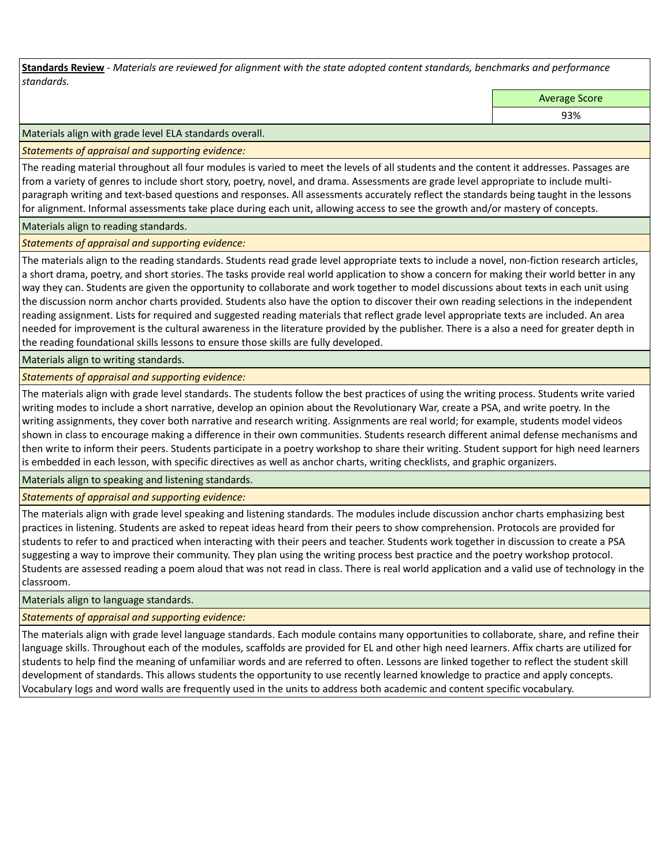**Standards Review** *- Materials are reviewed for alignment with the state adopted content standards, benchmarks and performance standards.*

Average Score

93%

Materials align with grade level ELA standards overall.

*Statements of appraisal and supporting evidence:* 

The reading material throughout all four modules is varied to meet the levels of all students and the content it addresses. Passages are from a variety of genres to include short story, poetry, novel, and drama. Assessments are grade level appropriate to include multiparagraph writing and text-based questions and responses. All assessments accurately reflect the standards being taught in the lessons for alignment. Informal assessments take place during each unit, allowing access to see the growth and/or mastery of concepts.

Materials align to reading standards.

*Statements of appraisal and supporting evidence:* 

The materials align to the reading standards. Students read grade level appropriate texts to include a novel, non-fiction research articles, a short drama, poetry, and short stories. The tasks provide real world application to show a concern for making their world better in any way they can. Students are given the opportunity to collaborate and work together to model discussions about texts in each unit using the discussion norm anchor charts provided. Students also have the option to discover their own reading selections in the independent reading assignment. Lists for required and suggested reading materials that reflect grade level appropriate texts are included. An area needed for improvement is the cultural awareness in the literature provided by the publisher. There is a also a need for greater depth in the reading foundational skills lessons to ensure those skills are fully developed.

Materials align to writing standards.

*Statements of appraisal and supporting evidence:* 

The materials align with grade level standards. The students follow the best practices of using the writing process. Students write varied writing modes to include a short narrative, develop an opinion about the Revolutionary War, create a PSA, and write poetry. In the writing assignments, they cover both narrative and research writing. Assignments are real world; for example, students model videos shown in class to encourage making a difference in their own communities. Students research different animal defense mechanisms and then write to inform their peers. Students participate in a poetry workshop to share their writing. Student support for high need learners is embedded in each lesson, with specific directives as well as anchor charts, writing checklists, and graphic organizers.

Materials align to speaking and listening standards.

*Statements of appraisal and supporting evidence:* 

The materials align with grade level speaking and listening standards. The modules include discussion anchor charts emphasizing best practices in listening. Students are asked to repeat ideas heard from their peers to show comprehension. Protocols are provided for students to refer to and practiced when interacting with their peers and teacher. Students work together in discussion to create a PSA suggesting a way to improve their community. They plan using the writing process best practice and the poetry workshop protocol. Students are assessed reading a poem aloud that was not read in class. There is real world application and a valid use of technology in the classroom.

Materials align to language standards.

*Statements of appraisal and supporting evidence:* 

The materials align with grade level language standards. Each module contains many opportunities to collaborate, share, and refine their language skills. Throughout each of the modules, scaffolds are provided for EL and other high need learners. Affix charts are utilized for students to help find the meaning of unfamiliar words and are referred to often. Lessons are linked together to reflect the student skill development of standards. This allows students the opportunity to use recently learned knowledge to practice and apply concepts. Vocabulary logs and word walls are frequently used in the units to address both academic and content specific vocabulary.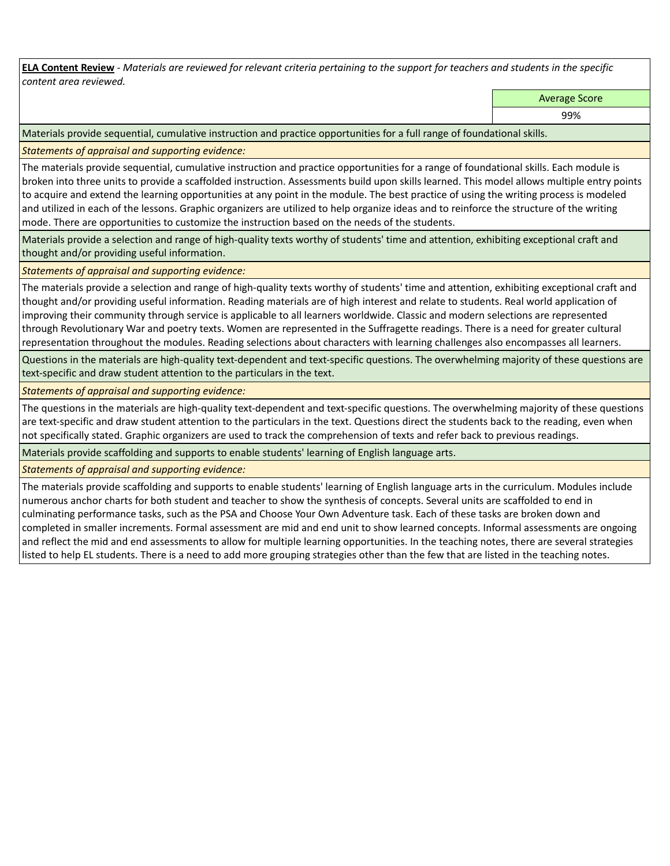**ELA Content Review** *- Materials are reviewed for relevant criteria pertaining to the support for teachers and students in the specific content area reviewed.*

Average Score

99%

Materials provide sequential, cumulative instruction and practice opportunities for a full range of foundational skills.

*Statements of appraisal and supporting evidence:* 

The materials provide sequential, cumulative instruction and practice opportunities for a range of foundational skills. Each module is broken into three units to provide a scaffolded instruction. Assessments build upon skills learned. This model allows multiple entry points to acquire and extend the learning opportunities at any point in the module. The best practice of using the writing process is modeled and utilized in each of the lessons. Graphic organizers are utilized to help organize ideas and to reinforce the structure of the writing mode. There are opportunities to customize the instruction based on the needs of the students.

Materials provide a selection and range of high-quality texts worthy of students' time and attention, exhibiting exceptional craft and thought and/or providing useful information.

*Statements of appraisal and supporting evidence:* 

The materials provide a selection and range of high-quality texts worthy of students' time and attention, exhibiting exceptional craft and thought and/or providing useful information. Reading materials are of high interest and relate to students. Real world application of improving their community through service is applicable to all learners worldwide. Classic and modern selections are represented through Revolutionary War and poetry texts. Women are represented in the Suffragette readings. There is a need for greater cultural representation throughout the modules. Reading selections about characters with learning challenges also encompasses all learners.

Questions in the materials are high-quality text-dependent and text-specific questions. The overwhelming majority of these questions are text-specific and draw student attention to the particulars in the text.

*Statements of appraisal and supporting evidence:* 

The questions in the materials are high-quality text-dependent and text-specific questions. The overwhelming majority of these questions are text-specific and draw student attention to the particulars in the text. Questions direct the students back to the reading, even when not specifically stated. Graphic organizers are used to track the comprehension of texts and refer back to previous readings.

Materials provide scaffolding and supports to enable students' learning of English language arts.

*Statements of appraisal and supporting evidence:* 

The materials provide scaffolding and supports to enable students' learning of English language arts in the curriculum. Modules include numerous anchor charts for both student and teacher to show the synthesis of concepts. Several units are scaffolded to end in culminating performance tasks, such as the PSA and Choose Your Own Adventure task. Each of these tasks are broken down and completed in smaller increments. Formal assessment are mid and end unit to show learned concepts. Informal assessments are ongoing and reflect the mid and end assessments to allow for multiple learning opportunities. In the teaching notes, there are several strategies listed to help EL students. There is a need to add more grouping strategies other than the few that are listed in the teaching notes.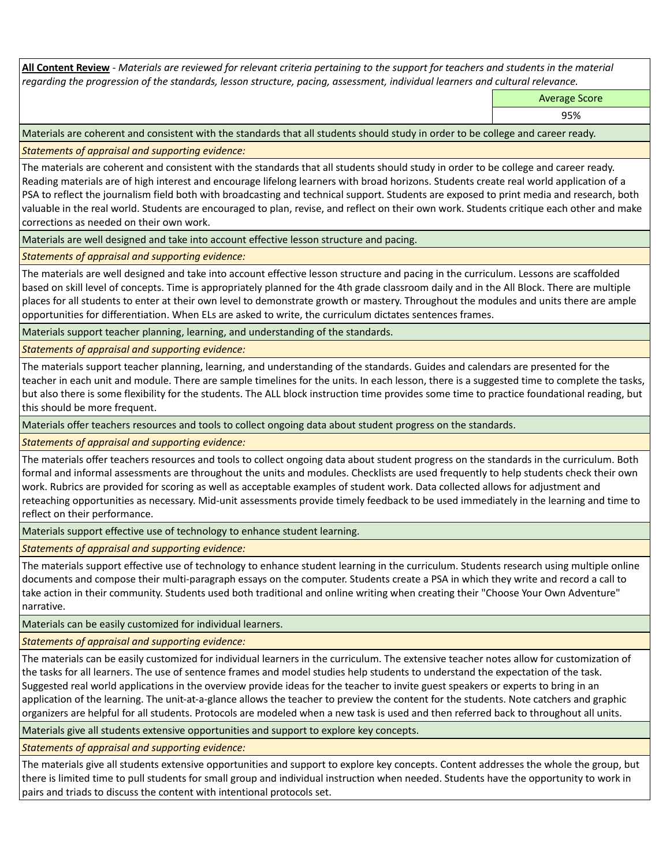**All Content Review** *- Materials are reviewed for relevant criteria pertaining to the support for teachers and students in the material regarding the progression of the standards, lesson structure, pacing, assessment, individual learners and cultural relevance.*

Average Score

95%

Materials are coherent and consistent with the standards that all students should study in order to be college and career ready.

*Statements of appraisal and supporting evidence:*

The materials are coherent and consistent with the standards that all students should study in order to be college and career ready. Reading materials are of high interest and encourage lifelong learners with broad horizons. Students create real world application of a PSA to reflect the journalism field both with broadcasting and technical support. Students are exposed to print media and research, both valuable in the real world. Students are encouraged to plan, revise, and reflect on their own work. Students critique each other and make corrections as needed on their own work.

Materials are well designed and take into account effective lesson structure and pacing.

*Statements of appraisal and supporting evidence:*

The materials are well designed and take into account effective lesson structure and pacing in the curriculum. Lessons are scaffolded based on skill level of concepts. Time is appropriately planned for the 4th grade classroom daily and in the All Block. There are multiple places for all students to enter at their own level to demonstrate growth or mastery. Throughout the modules and units there are ample opportunities for differentiation. When ELs are asked to write, the curriculum dictates sentences frames.

Materials support teacher planning, learning, and understanding of the standards.

*Statements of appraisal and supporting evidence:*

The materials support teacher planning, learning, and understanding of the standards. Guides and calendars are presented for the teacher in each unit and module. There are sample timelines for the units. In each lesson, there is a suggested time to complete the tasks, but also there is some flexibility for the students. The ALL block instruction time provides some time to practice foundational reading, but this should be more frequent.

Materials offer teachers resources and tools to collect ongoing data about student progress on the standards.

*Statements of appraisal and supporting evidence:*

The materials offer teachers resources and tools to collect ongoing data about student progress on the standards in the curriculum. Both formal and informal assessments are throughout the units and modules. Checklists are used frequently to help students check their own work. Rubrics are provided for scoring as well as acceptable examples of student work. Data collected allows for adjustment and reteaching opportunities as necessary. Mid-unit assessments provide timely feedback to be used immediately in the learning and time to reflect on their performance.

Materials support effective use of technology to enhance student learning.

*Statements of appraisal and supporting evidence:*

The materials support effective use of technology to enhance student learning in the curriculum. Students research using multiple online documents and compose their multi-paragraph essays on the computer. Students create a PSA in which they write and record a call to take action in their community. Students used both traditional and online writing when creating their "Choose Your Own Adventure" narrative.

Materials can be easily customized for individual learners.

*Statements of appraisal and supporting evidence:* 

The materials can be easily customized for individual learners in the curriculum. The extensive teacher notes allow for customization of the tasks for all learners. The use of sentence frames and model studies help students to understand the expectation of the task. Suggested real world applications in the overview provide ideas for the teacher to invite guest speakers or experts to bring in an application of the learning. The unit-at-a-glance allows the teacher to preview the content for the students. Note catchers and graphic organizers are helpful for all students. Protocols are modeled when a new task is used and then referred back to throughout all units.

Materials give all students extensive opportunities and support to explore key concepts.

*Statements of appraisal and supporting evidence:*

The materials give all students extensive opportunities and support to explore key concepts. Content addresses the whole the group, but there is limited time to pull students for small group and individual instruction when needed. Students have the opportunity to work in pairs and triads to discuss the content with intentional protocols set.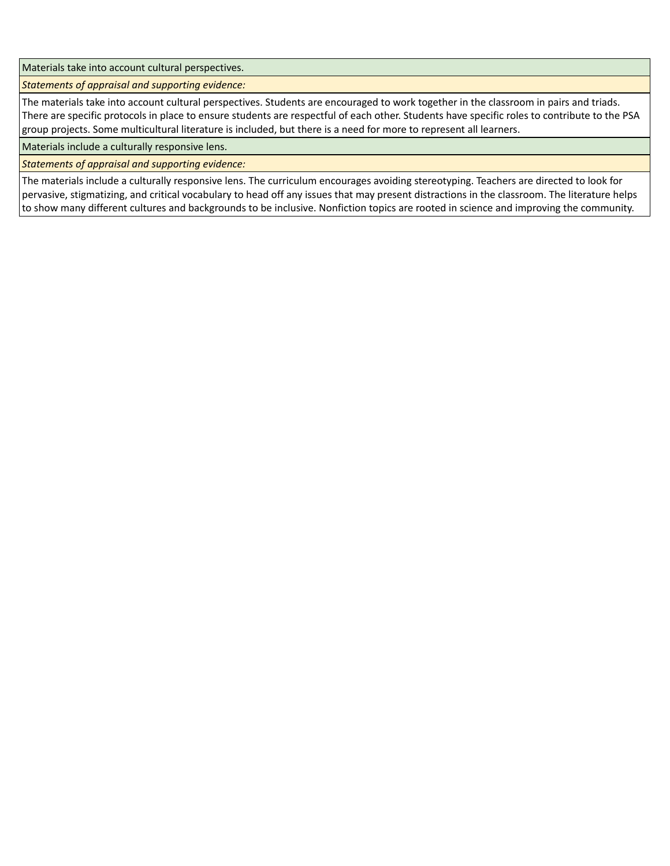Materials take into account cultural perspectives.

*Statements of appraisal and supporting evidence:*

The materials take into account cultural perspectives. Students are encouraged to work together in the classroom in pairs and triads. There are specific protocols in place to ensure students are respectful of each other. Students have specific roles to contribute to the PSA group projects. Some multicultural literature is included, but there is a need for more to represent all learners.

Materials include a culturally responsive lens.

*Statements of appraisal and supporting evidence:*

The materials include a culturally responsive lens. The curriculum encourages avoiding stereotyping. Teachers are directed to look for pervasive, stigmatizing, and critical vocabulary to head off any issues that may present distractions in the classroom. The literature helps to show many different cultures and backgrounds to be inclusive. Nonfiction topics are rooted in science and improving the community.